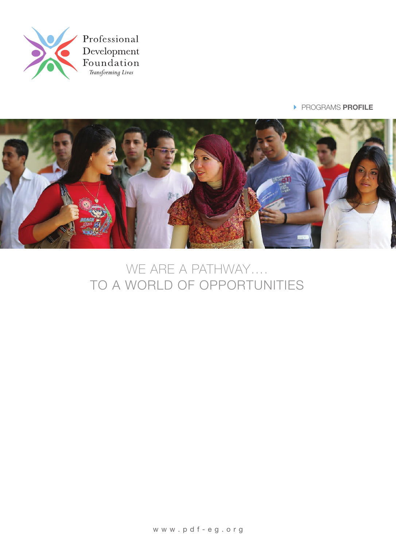

**PROGRAMS PROFILE** 



# WE ARE A PATHWAY .... TO A WORLD OF OPPORTUNITIES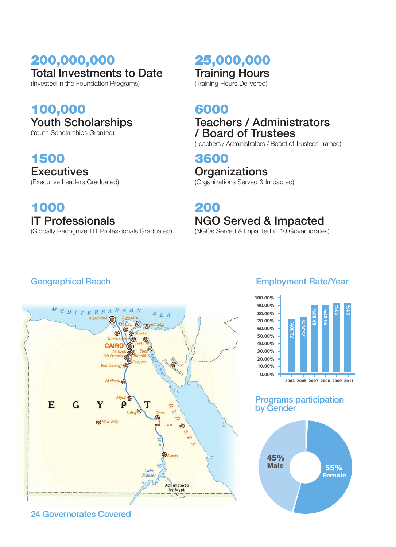# 200,000,000 **Total Investments to Date**

(Invested in the Foundation Programs)

### 100,000 Youth Scholarships

(Youth Scholarships Granted)

### 1500

**Executives** (Executive Leaders Graduated)

### 1000 **IT Professionals**

(Globally Recognized IT Professionals Graduated)

### 25,000,000 **Training Hours** (Training Hours Delivered)

6000

### **Teachers / Administrators** / Board of Trustees

(Teachers / Administrators / Board of Trustees Trained)

### 3600 **Organizations** (Organizations Served & Impacted)

# 200 **NGO Served & Impacted**

(NGOs Served & Impacted in 10 Governorates)

### **Geographical Reach**



### 24 Governorates Covered



### **Programs participation** by Gender

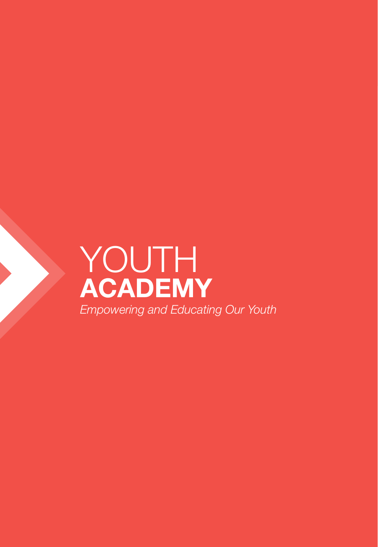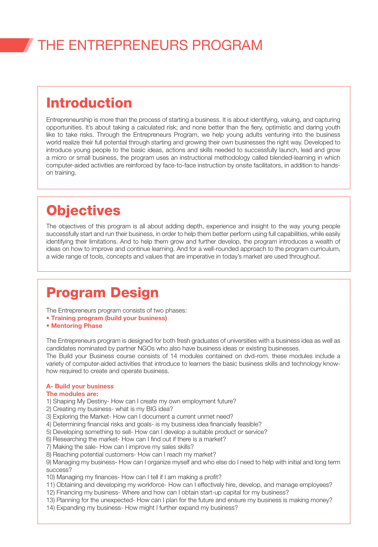### Introduction

Entrepreneurship is more than the process of starting a business. It is about identifying, valuing, and capturing opportunities. It's about taking a calculated risk; and none better than the fiery, optimistic and daring youth like to take risks. Through the Entrepreneurs Program, we help young adults venturing into the business world realize their full potential through starting and growing their own businesses the right way. Developed to introduce voung people to the basic ideas, actions and skills needed to successfully launch, lead and grow a micro or small business, the program uses an instructional methodology called blended-learning in which computer-aided activities are reinforced by face-to-face instruction by onsite facilitators, in addition to hands-<br>on training.

# **Objectives**

The objectives of this program is all about adding depth, experience and insight to the way young people successfully start and run their business, in order to help them better perform using full capabilities, while easily identifying their limitations. And to help them grow and further develop, the program introduces a wealth of ideas on how to improve and continue learning. And for a well-rounded approach to the program curriculum, a wide range of tools, concepts and values that are imperative in today's market are used throughout.

### **Program Design**

The Entrepreneurs program consists of two phases:

- Training program (build your business)
- Mentoring Phase

The Entrepreneurs program is designed for both fresh graduates of universities with a business idea as well as candidates nominated by partner NGOs who also have business ideas or existing businesses. The Build your Business course consists of 14 modules contained on dvd-rom. these modules include a variety of computer-aided activities that introduce to learners the basic business skills and technology know-<br>how required to create and operate business.

#### A- Build your business

#### The modules are:

- 1) Shaping My Destiny- How can I create my own employment future?
- 2) Creating my business- what is my BIG idea?
- 3) Exploring the Market- How can I document a current unmet need?
- 4) Determining financial risks and goals- is my business idea financially feasible?
- 5) Developing something to sell- How can I develop a suitable product or service?
- 6) Researching the market- How can I find out if there is a market?
- 7) Making the sale- How can I improve my sales skills?
- 8) Reaching potential customers- How can I reach my market?

9) Managing my business- How can I organize myself and who else do I need to help with initial and long term success?

- 10) Managing my finances- How can I tell if I am making a profit?
- 11) Obtaining and developing my workforce- How can I effectively hire, develop, and manage employees?
- 12) Financing my business- Where and how can I obtain start-up capital for my business?
- 13) Planning for the unexpected- How can I plan for the future and ensure my business is making money?
- 14) Expanding my business- How might I further expand my business?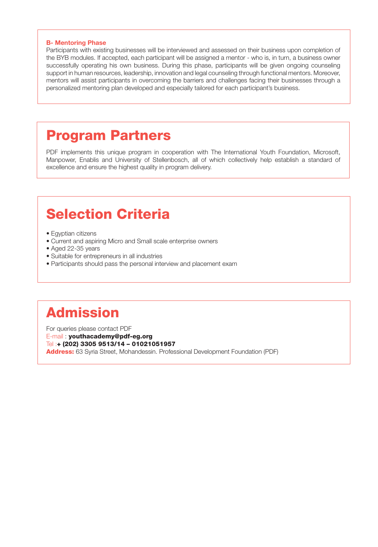#### **B- Mentoring Phase**

Participants with existing businesses will be interviewed and assessed on their business upon completion of the BYB modules. If accepted, each participant will be assigned a mentor - who is, in turn, a business owner successfully operating his own business. During this phase, participants will be given ongoing counseling support in human resources, leadership, innovation and legal counseling through functional mentors. Moreover, mentors will assist participants in overcoming the barriers and challenges facing their businesses through a personalized mentoring plan developed and especially tailored for each participant's business.

### **Program Partners**

PDF implements this unique program in cooperation with The International Youth Foundation, Microsoft, Manpower, Enablis and University of Stellenbosch, all of which collectively help establish a standard of excellence and ensure the highest quality in program delivery.

# **Selection Criteria**

- Egyptian citizens
- Current and aspiring Micro and Small scale enterprise owners
- Aged 22-35 years
- Suitable for entrepreneurs in all industries
- Participants should pass the personal interview and placement exam

# Admission

For queries please contact PDF E-mail: youthacademy@pdf-eg.org Tel:+ (202) 3305 9513/14 - 01021051957 Address: 63 Syria Street, Mohandessin. Professional Development Foundation (PDF)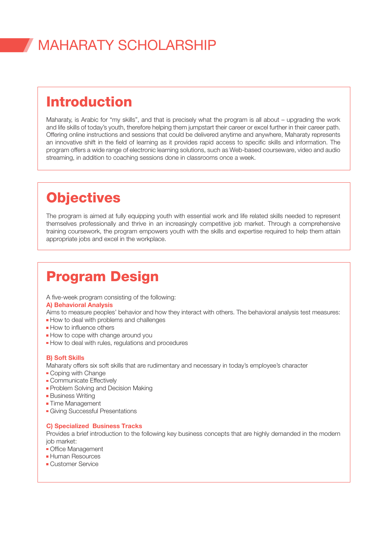# **MAHARATY SCHOLARSHIP**

### Introduction

Maharaty, is Arabic for "my skills", and that is precisely what the program is all about – upgrading the work and life skills of today's youth, therefore helping them jumpstart their career or excel further in their career path. Offering online instructions and sessions that could be delivered anytime and anywhere. Maharaty represents an innovative shift in the field of learning as it provides rapid access to specific skills and information. The program offers a wide range of electronic learning solutions, such as Web-based courseware, video and audio streaming, in addition to coaching sessions done in classrooms once a week.

# **Objectives**

The program is aimed at fully equipping youth with essential work and life related skills needed to represent themselves professionally and thrive in an increasingly competitive job market. Through a comprehensive training coursework, the program empowers youth with the skills and expertise required to help them attain appropriate jobs and excel in the workplace.

# **Program Design**

A five-week program consisting of the following:

#### A) Behavioral Analysis

Aims to measure peoples' behavior and how they interact with others. The behavioral analysis test measures:

- $\blacksquare$  How to deal with problems and challenges
- $\blacksquare$  How to influence others
- $\blacksquare$  How to cope with change around you
- **How to deal with rules, regulations and procedures**

#### **B)** Soft Skills

Maharaty offers six soft skills that are rudimentary and necessary in today's employee's character

- $\blacksquare$  Coping with Change
- **Communicate Effectively**
- Problem Solving and Decision Making
- **Business Writing**
- **Time Management**
- **Giving Successful Presentations**

#### **C) Specialized Business Tracks**

Provides a brief introduction to the following key business concepts that are highly demanded in the modern iob market:

- Office Management
- **Human Resources**
- **Customer Service**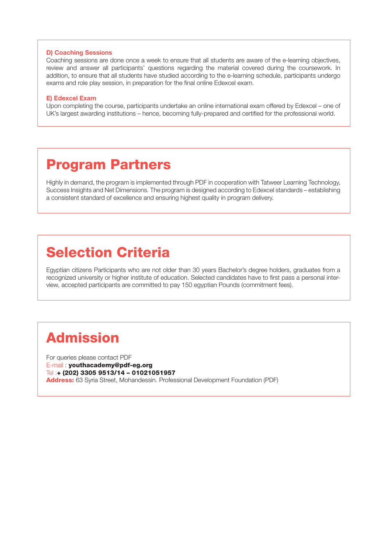#### D) Coaching Sessions

Coaching sessions are done once a week to ensure that all students are aware of the e-learning objectives, review and answer all participants' questions regarding the material covered during the coursework. In addition, to ensure that all students have studied according to the e-learning schedule, participants undergo exams and role play session, in preparation for the final online Edexcel exam.

#### E) Edexcel Exam

Upon completing the course, participants undertake an online international exam offered by Edexcel – one of UK's largest awarding institutions – hence, becoming fully-prepared and certified for the professional world.

### **Program Partners**

Highly in demand, the program is implemented through PDF in cooperation with Tatweer Learning Technology, Success Insights and Net Dimensions. The program is designed according to Edexcel standards – establishing a consistent standard of excellence and ensuring highest quality in program delivery.

### **Selection Criteria**

Egyptian citizens Participants who are not older than 30 years Bachelor's degree holders, graduates from a view, accepted participants are committed to pay 150 egyptian Pounds (commitment fees). recognized university or higher institute of education. Selected candidates have to first pass a personal inter-

# Admission

For queries please contact PDF E-mail: youthacademy@pdf-eg.org Tel:+ (202) 3305 9513/14 - 01021051957 Address: 63 Syria Street, Mohandessin. Professional Development Foundation (PDF)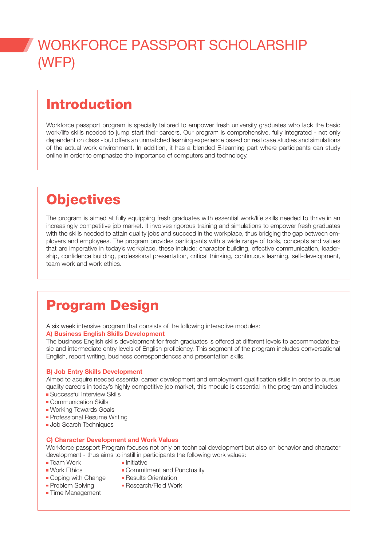# WORKFORCE PASSPORT SCHOLARSHIP  $(WFP)$

# Introduction

Workforce passport program is specially tailored to empower fresh university graduates who lack the basic work/life skills needed to jump start their careers. Our program is comprehensive, fully integrated - not only dependent on class - but offers an unmatched learning experience based on real case studies and simulations of the actual work environment. In addition, it has a blended E-learning part where participants can study online in order to emphasize the importance of computers and technology.

# **Objectives**

The program is aimed at fully equipping fresh graduates with essential work/life skills needed to thrive in an increasingly competitive job market. It involves rigorous training and simulations to empower fresh graduates ployers and employees. The program provides participants with a wide range of tools, concepts and values with the skills needed to attain quality jobs and succeed in the workplace, thus bridging the gap between emship, confidence building, professional presentation, critical thinking, continuous learning, self-development, that are imperative in today's workplace, these include: character building, effective communication, leaderteam work and work ethics.

# **Program Design**

A six week intensive program that consists of the following interactive modules:

#### A) Business English Skills Development

sic and intermediate entry levels of English proficiency. This segment of the program includes conversational The business English skills development for fresh graduates is offered at different levels to accommodate ba-English, report writing, business correspondences and presentation skills.

#### B) Job Entry Skills Development

Aimed to acquire needed essential career development and employment qualification skills in order to pursue quality careers in today's highly competitive job market, this module is essential in the program and includes: • Successful Interview Skills

- **Communication Skills**
- 
- **Working Towards Goals**
- **Professional Resume Writing**
- **Job Search Techniques**

#### C) Character Development and Work Values

Workforce passport Program focuses not only on technical development but also on behavior and character development - thus aims to instill in participants the following work values:

- **Team Work Team Work Team Initiative** 
	-
- 
- 
- **Time Management**
- **Work Ethics Commitment and Punctuality**
- Coping with Change Results Orientation
- Problem Solving  **Research/Field Work**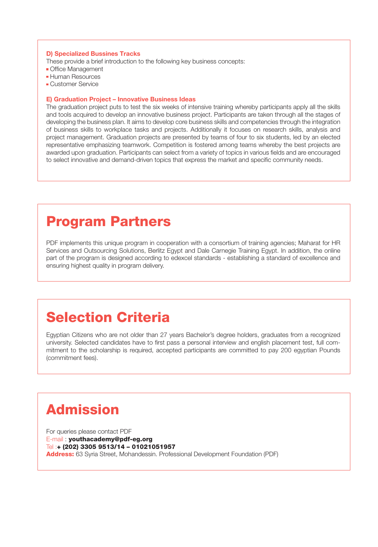#### D) Specialized Bussines Tracks

These provide a brief introduction to the following key business concepts:

- Office Management
- **Human Resources**
- **Customer Service**

#### E) Graduation Project – Innovative Business Ideas

The graduation project puts to test the six weeks of intensive training whereby participants apply all the skills and tools acquired to develop an innovative business project. Participants are taken through all the stages of developing the business plan. It aims to develop core business skills and competencies through the integration of business skills to workplace tasks and projects. Additionally it focuses on research skills, analysis and project management. Graduation projects are presented by teams of four to six students, led by an elected representative emphasizing teamwork. Competition is fostered among teams whereby the best projects are awarded upon graduation. Participants can select from a variety of topics in various fields and are encouraged to select innovative and demand-driven topics that express the market and specific community needs.

### **Program Partners**

PDF implements this unique program in cooperation with a consortium of training agencies; Maharat for HR Services and Outsourcing Solutions, Berlitz Egypt and Dale Carnegie Training Egypt. In addition, the online part of the program is designed according to edexcel standards - establishing a standard of excellence and ensuring highest quality in program delivery.

### **Selection Criteria**

Egyptian Citizens who are not older than 27 years Bachelor's degree holders, graduates from a recognized mitment to the scholarship is required, accepted participants are committed to pay 200 eqyptian Pounds university. Selected candidates have to first pass a personal interview and english placement test, full com-(commitment fees).

# Admission

For queries please contact PDF E-mail: youthacademy@pdf-eg.org Tel:+ (202) 3305 9513/14 - 01021051957 Address: 63 Syria Street, Mohandessin. Professional Development Foundation (PDF)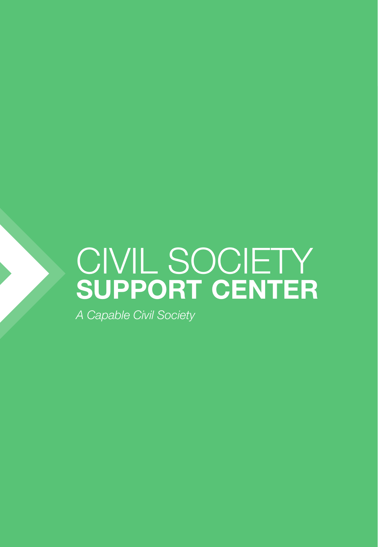# CIVIL SOCIETY SUPPORT CENTER

A Capable Civil Society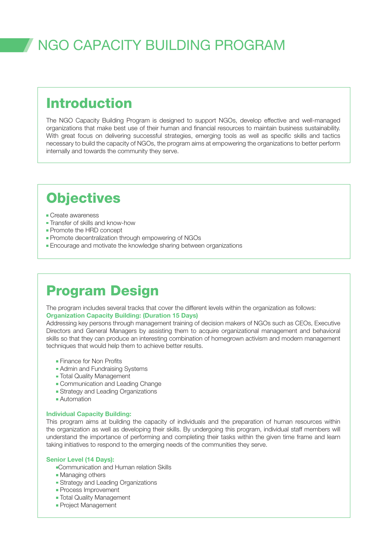# NGO CAPACITY BUILDING PROGRAM

### Introduction

The NGO Capacity Building Program is designed to support NGOs, develop effective and well-managed organizations that make best use of their human and financial resources to maintain business sustainability. With great focus on delivering successful strategies, emerging tools as well as specific skills and tactics necessary to build the capacity of NGOs, the program aims at empowering the organizations to better perform internally and towards the community they serve.

### **Objectives**

- $\blacksquare$  Create awareness
- Transfer of skills and know-how
- $\blacksquare$  Promote the HRD concept
- Promote decentralization through empowering of NGOs
- **Encourage and motivate the knowledge sharing between organizations**

### **Program Design**

The program includes several tracks that cover the different levels within the organization as follows: **Organization Capacity Building: (Duration 15 Days)** 

Addressing key persons through management training of decision makers of NGOs such as CEOs, Executive Directors and General Managers by assisting them to acquire organizational management and behavioral skills so that they can produce an interesting combination of homegrown activism and modern management techniques that would help them to achieve better results.

- Finance for Non Profits
- Admin and Fundraising Systems
- **Total Quality Management**
- Communication and Leading Change
- Strategy and Leading Organizations
- Automation

#### Individual Capacity Building:

This program aims at building the capacity of individuals and the preparation of human resources within the organization as well as developing their skills. By undergoing this program, individual staff members will understand the importance of performing and completing their tasks within the given time frame and learn taking initiatives to respond to the emerging needs of the communities they serve.

#### Senior Level (14 Days):

- Communication and Human relation Skills
- Managing others
- Grategy and Leading Organizations
- **Process Improvement**
- **Total Quality Management**
- **Project Management**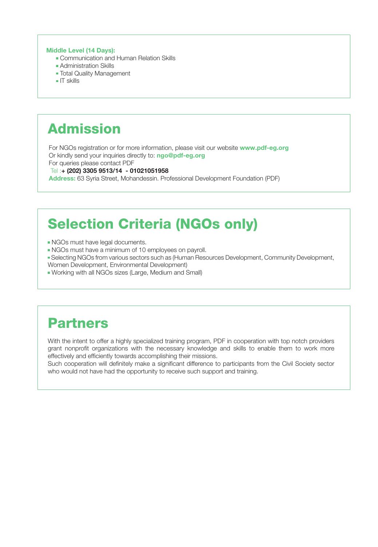#### Middle Level (14 Days):

- Communication and Human Relation Skills
- $\blacksquare$  Administration Skills
- **Total Quality Management**
- $\blacksquare$  IT skills

# Admission

For NGOs registration or for more information, please visit our website www.pdf-eg.org Or kindly send your inquiries directly to: ngo@pdf-eg.org

For queries please contact PDF

Tel: + (202) 3305 9513/14 - 01021051958

Address: 63 Syria Street, Mohandessin. Professional Development Foundation (PDF)

# **Selection Criteria (NGOs only)**

- . NGOs must have legal documents.
- . NGOs must have a minimum of 10 employees on payroll.
- . Selecting NGOs from various sectors such as (Human Resources Development, Community Development, Women Development, Environmental Development)
- " Working with all NGOs sizes (Large, Medium and Small)

# Partners

With the intent to offer a highly specialized training program. PDF in cooperation with top notch providers grant nonprofit organizations with the necessary knowledge and skills to enable them to work more effectively and efficiently towards accomplishing their missions.

Such cooperation will definitely make a significant difference to participants from the Civil Society sector who would not have had the opportunity to receive such support and training.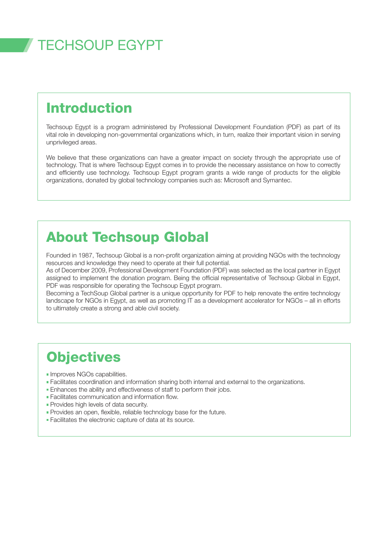# **TECHSOUP EGYPT**

# Introduction

Techsoup Egypt is a program administered by Professional Development Foundation (PDF) as part of its vital role in developing non-governmental organizations which, in turn, realize their important vision in serving unprivileged areas.

We believe that these organizations can have a greater impact on society through the appropriate use of technology. That is where Techsoup Egypt comes in to provide the necessary assistance on how to correctly and efficiently use technology. Techsoup Egypt program grants a wide range of products for the eligible organizations, donated by global technology companies such as: Microsoft and Symantec.

# **About Techsoup Global**

Founded in 1987, Techsoup Global is a non-profit organization aiming at providing NGOs with the technology resources and knowledge they need to operate at their full potential.

As of December 2009, Professional Development Foundation (PDF) was selected as the local partner in Egypt assigned to implement the donation program. Being the official representative of Techsoup Global in Egypt, PDF was responsible for operating the Techsoup Egypt program.

Becoming a TechSoup Global partner is a unique opportunity for PDF to help renovate the entire technology landscape for NGOs in Eqypt, as well as promoting IT as a development accelerator for NGOs - all in efforts to ultimately create a strong and able civil society.

### **Objectives**

- $\blacksquare$  Improves NGOs capabilities.
- . Facilitates coordination and information sharing both internal and external to the organizations.
- . Enhances the ability and effectiveness of staff to perform their jobs.
- $\blacksquare$  Facilitates communication and information flow.
- **Provides high levels of data security.**
- . Provides an open, flexible, reliable technology base for the future.
- Eacilitates the electronic capture of data at its source.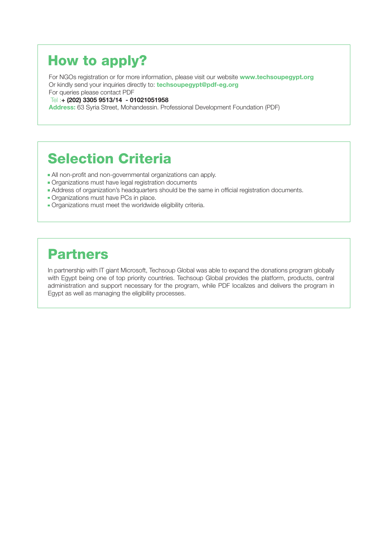# How to apply?

For NGOs registration or for more information, please visit our website www.techsoupegypt.org Or kindly send your inquiries directly to: **techsoupegypt@pdf-eg.org** 

For queries please contact PDF

Tel: + (202) 3305 9513/14 - 01021051958

Address: 63 Syria Street, Mohandessin. Professional Development Foundation (PDF)

### **Selection Criteria**

- . All non-profit and non-governmental organizations can apply.
- Organizations must have legal registration documents
- . Address of organization's headquarters should be the same in official registration documents.
- Organizations must have PCs in place.
- . Organizations must meet the worldwide eligibility criteria.

### Partners

In partnership with IT giant Microsoft, Techsoup Global was able to expand the donations program globally with Egypt being one of top priority countries. Techsoup Global provides the platform, products, central administration and support necessary for the program, while PDF localizes and delivers the program in Egypt as well as managing the eligibility processes.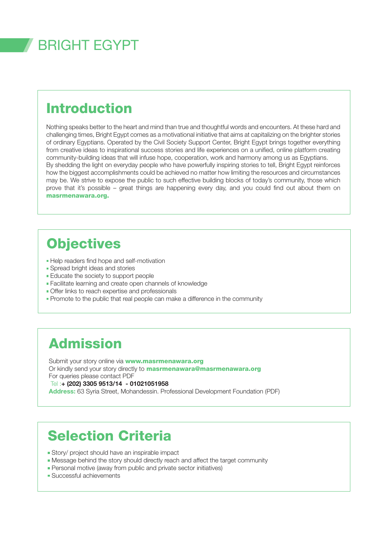# **BRIGHT FGYPT**

# Introduction

Nothing speaks better to the heart and mind than true and thoughtful words and encounters. At these hard and challenging times. Bright Egypt comes as a motivational initiative that aims at capitalizing on the brighter stories of ordinary Egyptians. Operated by the Civil Society Support Center, Bright Egypt brings together everything from creative ideas to inspirational success stories and life experiences on a unified, online platform creating community-building ideas that will infuse hope, cooperation, work and harmony among us as Egyptians. By shedding the light on everyday people who have powerfully inspiring stories to tell. Bright Egypt reinforces how the biggest accomplishments could be achieved no matter how limiting the resources and circumstances may be. We strive to expose the public to such effective building blocks of today's community, those which prove that it's possible – great things are happening every day, and you could find out about them on masrmenawara.org.

# **Objectives**

- Help readers find hope and self-motivation
- Spread bright ideas and stories
- **Educate the society to support people**
- Facilitate learning and create open channels of knowledge
- Offer links to reach expertise and professionals
- Promote to the public that real people can make a difference in the community

# Admission

Submit your story online via **www.masrmenawara.org** Or kindly send your story directly to **masrmenawara@masrmenawara.org** For queries please contact PDF Tel:+ (202) 3305 9513/14 - 01021051958

Address: 63 Syria Street, Mohandessin. Professional Development Foundation (PDF)

### **Selection Criteria**

- **Story/ project should have an inspirable impact**
- Message behind the story should directly reach and affect the target community
- Personal motive (away from public and private sector initiatives)
- $\blacksquare$  Successful achievements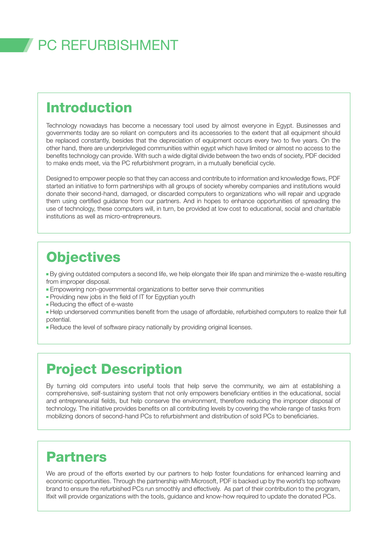# **PC REFURBISHMENT**

### Introduction

Technology nowadays has become a necessary tool used by almost everyone in Egypt. Businesses and governments today are so reliant on computers and its accessories to the extent that all equipment should be replaced constantly, besides that the depreciation of equipment occurs every two to five years. On the other hand, there are underprivileged communities within egypt which have limited or almost no access to the benefits technology can provide. With such a wide digital divide between the two ends of society, PDF decided to make ends meet, via the PC refurbishment program, in a mutually beneficial cycle.

Designed to empower people so that they can access and contribute to information and knowledge flows. PDF started an initiative to form partnerships with all groups of society whereby companies and institutions would donate their second-hand, damaged, or discarded computers to organizations who will repair and upgrade them using certified guidance from our partners. And in hopes to enhance opportunities of spreading the use of technology, these computers will, in turn, be provided at low cost to educational, social and charitable institutions as well as micro-entrepreneurs.

### **Objectives**

• By giving outdated computers a second life, we help elongate their life span and minimize the e-waste resulting from improper disposal.

- **Empowering non-governmental organizations to better serve their communities**
- Providing new jobs in the field of IT for Egyptian youth
- Reducing the effect of e-waste
- Help underserved communities benefit from the usage of affordable, refurbished computers to realize their full .potential
- Reduce the level of software piracy nationally by providing original licenses.

### **Project Description**

By turning old computers into useful tools that help serve the community, we aim at establishing a comprehensive, self-sustaining system that not only empowers beneficiary entities in the educational, social and entrepreneurial fields, but help conserve the environment, therefore reducing the improper disposal of technology. The initiative provides benefits on all contributing levels by covering the whole range of tasks from mobilizing donors of second-hand PCs to refurbishment and distribution of sold PCs to beneficiaries.

### Partners

We are proud of the efforts exerted by our partners to help foster foundations for enhanced learning and economic opportunities. Through the partnership with Microsoft, PDF is backed up by the world's top software brand to ensure the refurbished PCs run smoothly and effectively. As part of their contribution to the program, . Ifixit will provide organizations with the tools, guidance and know-how required to update the donated PCs.